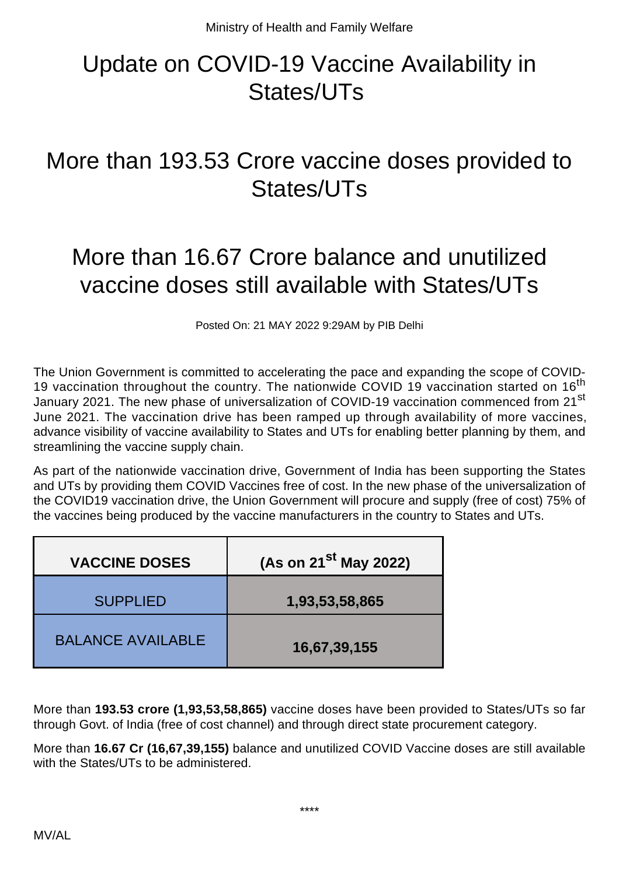## Update on COVID-19 Vaccine Availability in States/UTs

## More than 193.53 Crore vaccine doses provided to States/UTs

## More than 16.67 Crore balance and unutilized vaccine doses still available with States/UTs

Posted On: 21 MAY 2022 9:29AM by PIB Delhi

The Union Government is committed to accelerating the pace and expanding the scope of COVID-19 vaccination throughout the country. The nationwide COVID 19 vaccination started on 16<sup>th</sup> January 2021. The new phase of universalization of COVID-19 vaccination commenced from 21<sup>st</sup> June 2021. The vaccination drive has been ramped up through availability of more vaccines, advance visibility of vaccine availability to States and UTs for enabling better planning by them, and streamlining the vaccine supply chain.

As part of the nationwide vaccination drive, Government of India has been supporting the States and UTs by providing them COVID Vaccines free of cost. In the new phase of the universalization of the COVID19 vaccination drive, the Union Government will procure and supply (free of cost) 75% of the vaccines being produced by the vaccine manufacturers in the country to States and UTs.

| <b>VACCINE DOSES</b>     | (As on 21 $^{st}$ May 2022) |
|--------------------------|-----------------------------|
| <b>SUPPLIED</b>          | 1,93,53,58,865              |
| <b>BALANCE AVAILABLE</b> | 16,67,39,155                |

More than **193.53 crore (1,93,53,58,865)** vaccine doses have been provided to States/UTs so far through Govt. of India (free of cost channel) and through direct state procurement category.

More than **16.67 Cr (16,67,39,155)** balance and unutilized COVID Vaccine doses are still available with the States/UTs to be administered.